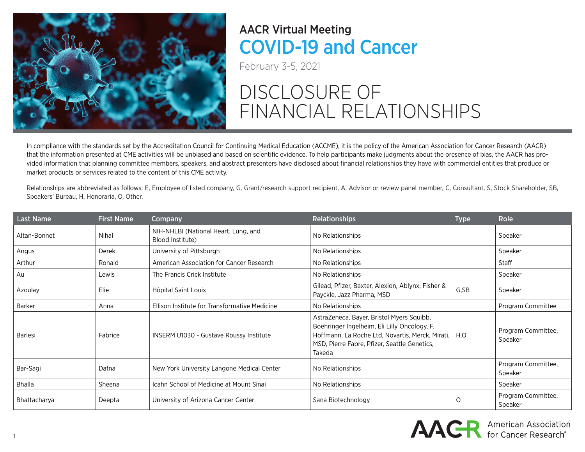

February 3-5, 2021

# DISCLOSURE OF FINANCIAL RELATIONSHIPS

In compliance with the standards set by the Accreditation Council for Continuing Medical Education (ACCME), it is the policy of the American Association for Cancer Research (AACR) that the information presented at CME activities will be unbiased and based on scientific evidence. To help participants make judgments about the presence of bias, the AACR has provided information that planning committee members, speakers, and abstract presenters have disclosed about financial relationships they have with commercial entities that produce or market products or services related to the content of this CME activity.

Relationships are abbreviated as follows: E, Employee of listed company, G, Grant/research support recipient, A, Advisor or review panel member, C, Consultant, S, Stock Shareholder, SB, Speakers' Bureau, H, Honoraria, O, Other.

| <b>Last Name</b> | <b>First Name</b> | Company                                                  | <b>Relationships</b>                                                                                                                                                                                           | <b>Type</b> | <b>Role</b>                   |
|------------------|-------------------|----------------------------------------------------------|----------------------------------------------------------------------------------------------------------------------------------------------------------------------------------------------------------------|-------------|-------------------------------|
| Altan-Bonnet     | Nihal             | NIH-NHLBI (National Heart, Lung, and<br>Blood Institute) | No Relationships                                                                                                                                                                                               |             | Speaker                       |
| Angus            | Derek             | University of Pittsburgh                                 | No Relationships                                                                                                                                                                                               |             | Speaker                       |
| Arthur           | Ronald            | American Association for Cancer Research                 | No Relationships                                                                                                                                                                                               |             | Staff                         |
| Au               | Lewis             | The Francis Crick Institute                              | No Relationships                                                                                                                                                                                               |             | Speaker                       |
| Azoulay          | Elie              | Hôpital Saint Louis                                      | Gilead, Pfizer, Baxter, Alexion, Ablynx, Fisher &<br>Payckle, Jazz Pharma, MSD                                                                                                                                 | G,SB        | Speaker                       |
| Barker           | Anna              | Ellison Institute for Transformative Medicine            | No Relationships                                                                                                                                                                                               |             | Program Committee             |
| Barlesi          | Fabrice           | <b>INSERM U1030 - Gustave Roussy Institute</b>           | AstraZeneca, Bayer, Bristol Myers Squibb,<br>Boehringer Ingelheim, Eli Lilly Oncology, F.<br>Hoffmann, La Roche Ltd, Novartis, Merck, Mirati,   H.O.<br>MSD, Pierre Fabre, Pfizer, Seattle Genetics,<br>Takeda |             | Program Committee,<br>Speaker |
| Bar-Sagi         | Dafna             | New York University Langone Medical Center               | No Relationships                                                                                                                                                                                               |             | Program Committee,<br>Speaker |
| Bhalla           | Sheena            | Icahn School of Medicine at Mount Sinai                  | No Relationships                                                                                                                                                                                               |             | Speaker                       |
| Bhattacharya     | Deepta            | University of Arizona Cancer Center                      | Sana Biotechnology                                                                                                                                                                                             | 0           | Program Committee,<br>Speaker |

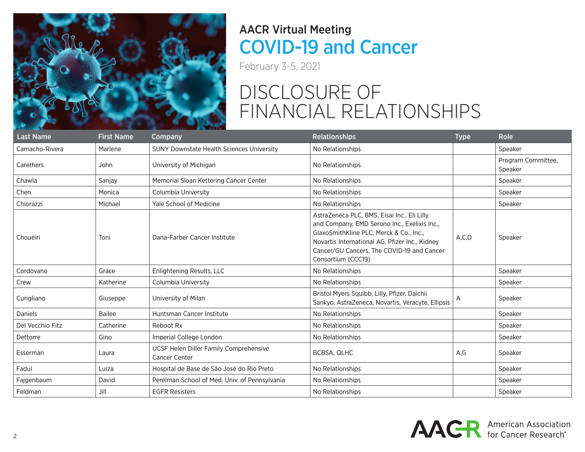

February 3-5, 2021

| <b>Last Name</b> | <b>First Name</b> | Company                                                        | <b>Relationships</b>                                                                                                                                                                                                                                         | <b>Type</b> | <b>Role</b>                   |
|------------------|-------------------|----------------------------------------------------------------|--------------------------------------------------------------------------------------------------------------------------------------------------------------------------------------------------------------------------------------------------------------|-------------|-------------------------------|
| Camacho-Rivera   | Marlene           | <b>SUNY Downstate Health Sciences University</b>               | No Relationships                                                                                                                                                                                                                                             |             | Speaker                       |
| Carethers        | John              | University of Michigan                                         | No Relationships                                                                                                                                                                                                                                             |             | Program Committee,<br>Speaker |
| Chawla           | Sanjay            | Memorial Sloan Kettering Cancer Center                         | No Relationships                                                                                                                                                                                                                                             |             | Speaker                       |
| Chen             | Monica            | Columbia University                                            | No Relationships                                                                                                                                                                                                                                             |             | Speaker                       |
| Chiorazzi        | Michael           | <b>Yale School of Medicine</b>                                 | No Relationships                                                                                                                                                                                                                                             |             | Speaker                       |
| Choueiri         | Toni              | Dana-Farber Cancer Institute                                   | AstraZeneca PLC, BMS, Eisai Inc., Eli Lilly<br>and Company, EMD Serono Inc., Exelixis Inc.,<br>GlaxoSmithKline PLC, Merck & Co., Inc.,<br>Novartis International AG, Pfizer Inc., Kidney<br>Cancer/GU Cancers, The COVID-19 and Cancer<br>Consortium (CCC19) | A, C, O     | Speaker                       |
| Cordovano        | Grace             | Enlightening Results, LLC                                      | No Relationships                                                                                                                                                                                                                                             |             | Speaker                       |
| Crew             | Katherine         | Columbia University                                            | No Relationships                                                                                                                                                                                                                                             |             | Speaker                       |
| Curigliano       | Giuseppe          | University of Milan                                            | Bristol Myers Squibb, Lilly, Pfizer, Daichii<br>Sankyo, AstraZeneca, Novartis, Veracyte, Ellipsis                                                                                                                                                            | A           | Speaker                       |
| <b>Daniels</b>   | <b>Bailee</b>     | Huntsman Cancer Institute                                      | No Relationships                                                                                                                                                                                                                                             |             | Speaker                       |
| Del Vecchio Fitz | Catherine         | Reboot Rx                                                      | No Relationships                                                                                                                                                                                                                                             |             | Speaker                       |
| Dettorre         | Gino              | Imperial College London                                        | No Relationships                                                                                                                                                                                                                                             |             | Speaker                       |
| Esserman         | Laura             | UCSF Helen Diller Family Comprehensive<br><b>Cancer Center</b> | BCBSA, QLHC                                                                                                                                                                                                                                                  | A,G         | Speaker                       |
| Fadul            | Luiza             | Hospital de Base de São José do Rio Preto                      | No Relationships                                                                                                                                                                                                                                             |             | Speaker                       |
| Fajgenbaum       | David             | Perelman School of Med. Univ. of Pennsylvania                  | No Relationships                                                                                                                                                                                                                                             |             | Speaker                       |
| Feldman          | Jill              | <b>EGFR Resisters</b>                                          | No Relationships                                                                                                                                                                                                                                             |             | Speaker                       |

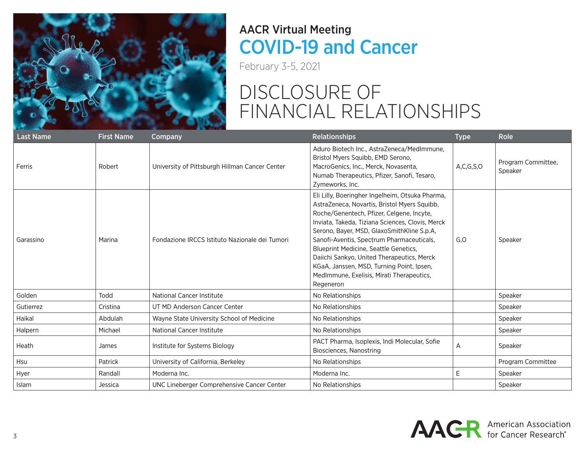

February 3-5, 2021

| <b>Last Name</b> | <b>First Name</b> | Company                                        | <b>Relationships</b>                                                                                                                                                                                                                                                                                                                                                                                                                                                                      | <b>Type</b>   | Role                          |
|------------------|-------------------|------------------------------------------------|-------------------------------------------------------------------------------------------------------------------------------------------------------------------------------------------------------------------------------------------------------------------------------------------------------------------------------------------------------------------------------------------------------------------------------------------------------------------------------------------|---------------|-------------------------------|
| Ferris           | Robert            | University of Pittsburgh Hillman Cancer Center | Aduro Biotech Inc., AstraZeneca/MedImmune,<br>Bristol Myers Squibb, EMD Serono,<br>MacroGenics, Inc., Merck, Novasenta,<br>Numab Therapeutics, Pfizer, Sanofi, Tesaro,<br>Zymeworks, Inc.                                                                                                                                                                                                                                                                                                 | A, C, G, S, O | Program Committee,<br>Speaker |
| Garassino        | Marina            | Fondazione IRCCS Istituto Nazionale dei Tumori | Eli Lilly, Boeringher Ingelheim, Otsuka Pharma,<br>AstraZeneca, Novartis, Bristol Myers Squibb,<br>Roche/Genentech, Pfizer, Celgene, Incyte,<br>Inviata, Takeda, Tiziana Sciences, Clovis, Merck<br>Serono, Bayer, MSD, GlaxoSmithKline S.p.A,<br>Sanofi-Aventis, Spectrum Pharmaceuticals,<br>Blueprint Medicine, Seattle Genetics,<br>Daiichi Sankyo, United Therapeutics, Merck<br>KGaA, Janssen, MSD, Turning Point, Ipsen,<br>MedImmune, Exelisis, Mirati Therapeutics,<br>Regeneron | G, O          | Speaker                       |
| Golden           | Todd              | National Cancer Institute                      | No Relationships                                                                                                                                                                                                                                                                                                                                                                                                                                                                          |               | Speaker                       |
| Gutierrez        | Cristina          | UT MD Anderson Cancer Center                   | No Relationships                                                                                                                                                                                                                                                                                                                                                                                                                                                                          |               | Speaker                       |
| Haikal           | Abdulah           | Wayne State University School of Medicine      | No Relationships                                                                                                                                                                                                                                                                                                                                                                                                                                                                          |               | Speaker                       |
| Halpern          | Michael           | National Cancer Institute                      | No Relationships                                                                                                                                                                                                                                                                                                                                                                                                                                                                          |               | Speaker                       |
| Heath            | James             | Institute for Systems Biology                  | PACT Pharma, Isoplexis, Indi Molecular, Sofie<br>Biosciences, Nanostring                                                                                                                                                                                                                                                                                                                                                                                                                  | A             | Speaker                       |
| <b>Hsu</b>       | Patrick           | University of California, Berkeley             | No Relationships                                                                                                                                                                                                                                                                                                                                                                                                                                                                          |               | Program Committee             |
| Hyer             | Randall           | Moderna Inc.                                   | Moderna Inc.                                                                                                                                                                                                                                                                                                                                                                                                                                                                              | E             | Speaker                       |
| Islam            | Jessica           | UNC Lineberger Comprehensive Cancer Center     | No Relationships                                                                                                                                                                                                                                                                                                                                                                                                                                                                          |               | Speaker                       |

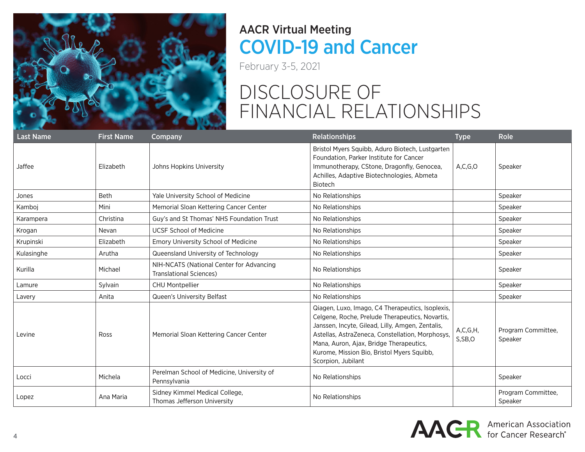

February 3-5, 2021

| <b>Last Name</b> | <b>First Name</b> | Company                                                                    | <b>Relationships</b>                                                                                                                                                                                                                                                                                                       | <b>Type</b>          | <b>Role</b>                   |
|------------------|-------------------|----------------------------------------------------------------------------|----------------------------------------------------------------------------------------------------------------------------------------------------------------------------------------------------------------------------------------------------------------------------------------------------------------------------|----------------------|-------------------------------|
| Jaffee           | Elizabeth         | Johns Hopkins University                                                   | Bristol Myers Squibb, Aduro Biotech, Lustgarten<br>Foundation, Parker Institute for Cancer<br>Immunotherapy, CStone, Dragonfly, Genocea,<br>Achilles, Adaptive Biotechnologies, Abmeta<br><b>Biotech</b>                                                                                                                   | A, C, G, O           | Speaker                       |
| Jones            | <b>Beth</b>       | Yale University School of Medicine                                         | No Relationships                                                                                                                                                                                                                                                                                                           |                      | Speaker                       |
| Kamboi           | Mini              | Memorial Sloan Kettering Cancer Center                                     | No Relationships                                                                                                                                                                                                                                                                                                           |                      | Speaker                       |
| Karampera        | Christina         | Guy's and St Thomas' NHS Foundation Trust                                  | No Relationships                                                                                                                                                                                                                                                                                                           |                      | Speaker                       |
| Krogan           | Nevan             | <b>UCSF School of Medicine</b>                                             | No Relationships                                                                                                                                                                                                                                                                                                           |                      | Speaker                       |
| Krupinski        | Elizabeth         | Emory University School of Medicine                                        | No Relationships                                                                                                                                                                                                                                                                                                           |                      | Speaker                       |
| Kulasinghe       | Arutha            | Queensland University of Technology                                        | No Relationships                                                                                                                                                                                                                                                                                                           |                      | Speaker                       |
| Kurilla          | Michael           | NIH-NCATS (National Center for Advancing<br><b>Translational Sciences)</b> | No Relationships                                                                                                                                                                                                                                                                                                           |                      | Speaker                       |
| Lamure           | Sylvain           | <b>CHU Montpellier</b>                                                     | No Relationships                                                                                                                                                                                                                                                                                                           |                      | Speaker                       |
| Lavery           | Anita             | Queen's University Belfast                                                 | No Relationships                                                                                                                                                                                                                                                                                                           |                      | Speaker                       |
| Levine           | Ross              | Memorial Sloan Kettering Cancer Center                                     | Qiagen, Luxo, Imago, C4 Therapeutics, Isoplexis,<br>Celgene, Roche, Prelude Therapeutics, Novartis,<br>Janssen, Incyte, Gilead, Lilly, Amgen, Zentalis,<br>Astellas, AstraZeneca, Constellation, Morphosys,<br>Mana, Auron, Ajax, Bridge Therapeutics,<br>Kurome, Mission Bio, Bristol Myers Squibb,<br>Scorpion, Jubilant | A, C, G, H<br>S,SB,O | Program Committee,<br>Speaker |
| Locci            | Michela           | Perelman School of Medicine, University of<br>Pennsylvania                 | No Relationships                                                                                                                                                                                                                                                                                                           |                      | Speaker                       |
| Lopez            | Ana Maria         | Sidney Kimmel Medical College,<br>Thomas Jefferson University              | No Relationships                                                                                                                                                                                                                                                                                                           |                      | Program Committee,<br>Speaker |

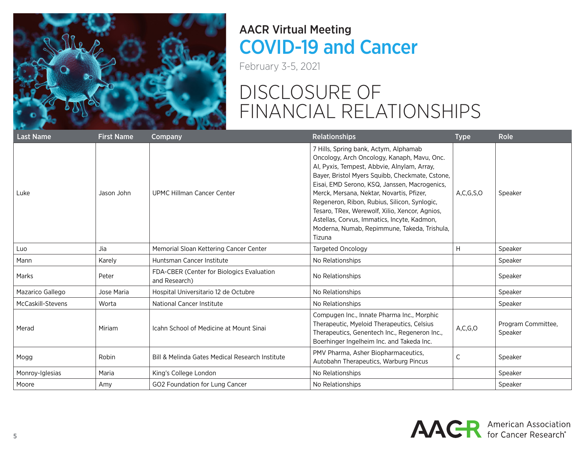

February 3-5, 2021

| <b>Last Name</b>  | <b>First Name</b> | Company                                                    | <b>Relationships</b>                                                                                                                                                                                                                                                                                                                                                                                                                                                                            | <b>Type</b>   | Role                          |
|-------------------|-------------------|------------------------------------------------------------|-------------------------------------------------------------------------------------------------------------------------------------------------------------------------------------------------------------------------------------------------------------------------------------------------------------------------------------------------------------------------------------------------------------------------------------------------------------------------------------------------|---------------|-------------------------------|
| Luke              | Jason John        | <b>UPMC Hillman Cancer Center</b>                          | 7 Hills, Spring bank, Actym, Alphamab<br>Oncology, Arch Oncology, Kanaph, Mavu, Onc.<br>Al, Pyxis, Tempest, Abbvie, Alnylam, Array,<br>Bayer, Bristol Myers Squibb, Checkmate, Cstone,<br>Eisai, EMD Serono, KSQ, Janssen, Macrogenics,<br>Merck, Mersana, Nektar, Novartis, Pfizer,<br>Regeneron, Ribon, Rubius, Silicon, Synlogic,<br>Tesaro, TRex, Werewolf, Xilio, Xencor, Agnios,<br>Astellas, Corvus, Immatics, Incyte, Kadmon,<br>Moderna, Numab, Repimmune, Takeda, Trishula,<br>Tizuna | A, C, G, S, O | Speaker                       |
| Luo               | Jia               | Memorial Sloan Kettering Cancer Center                     | <b>Targeted Oncology</b>                                                                                                                                                                                                                                                                                                                                                                                                                                                                        | H             | Speaker                       |
| Mann              | Karely            | Huntsman Cancer Institute                                  | No Relationships                                                                                                                                                                                                                                                                                                                                                                                                                                                                                |               | Speaker                       |
| Marks             | Peter             | FDA-CBER (Center for Biologics Evaluation<br>and Research) | No Relationships                                                                                                                                                                                                                                                                                                                                                                                                                                                                                |               | Speaker                       |
| Mazarico Gallego  | Jose Maria        | Hospital Universitario 12 de Octubre                       | No Relationships                                                                                                                                                                                                                                                                                                                                                                                                                                                                                |               | Speaker                       |
| McCaskill-Stevens | Worta             | <b>National Cancer Institute</b>                           | No Relationships                                                                                                                                                                                                                                                                                                                                                                                                                                                                                |               | Speaker                       |
| Merad             | Miriam            | Icahn School of Medicine at Mount Sinai                    | Compugen Inc., Innate Pharma Inc., Morphic<br>Therapeutic, Myeloid Therapeutics, Celsius<br>Therapeutics, Genentech Inc., Regeneron Inc.,<br>Boerhinger Ingelheim Inc. and Takeda Inc.                                                                                                                                                                                                                                                                                                          | A, C, G, O    | Program Committee,<br>Speaker |
| Mogg              | Robin             | Bill & Melinda Gates Medical Research Institute            | PMV Pharma, Asher Biopharmaceutics,<br>Autobahn Therapeutics, Warburg Pincus                                                                                                                                                                                                                                                                                                                                                                                                                    | C             | Speaker                       |
| Monroy-Iglesias   | Maria             | King's College London                                      | No Relationships                                                                                                                                                                                                                                                                                                                                                                                                                                                                                |               | Speaker                       |
| Moore             | Amy               | GO2 Foundation for Lung Cancer                             | No Relationships                                                                                                                                                                                                                                                                                                                                                                                                                                                                                |               | Speaker                       |

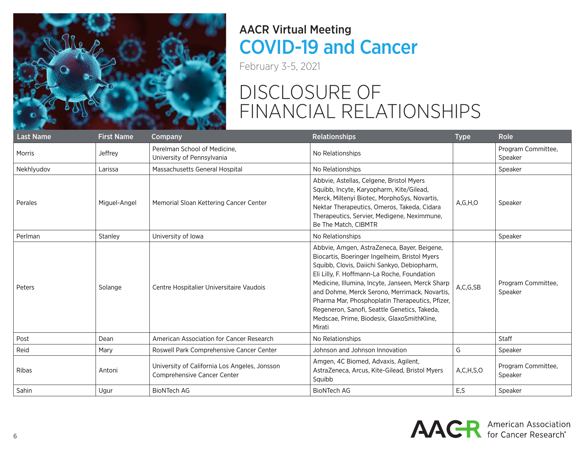

February 3-5, 2021

| <b>Last Name</b> | <b>First Name</b> | Company                                                                      | <b>Relationships</b>                                                                                                                                                                                                                                                                                                                                                                                                                                       | <b>Type</b>   | Role                          |
|------------------|-------------------|------------------------------------------------------------------------------|------------------------------------------------------------------------------------------------------------------------------------------------------------------------------------------------------------------------------------------------------------------------------------------------------------------------------------------------------------------------------------------------------------------------------------------------------------|---------------|-------------------------------|
| Morris           | Jeffrey           | Perelman School of Medicine.<br>University of Pennsylvania                   | No Relationships                                                                                                                                                                                                                                                                                                                                                                                                                                           |               | Program Committee,<br>Speaker |
| Nekhlyudov       | Larissa           | Massachusetts General Hospital                                               | No Relationships                                                                                                                                                                                                                                                                                                                                                                                                                                           |               | Speaker                       |
| Perales          | Miguel-Angel      | Memorial Sloan Kettering Cancer Center                                       | Abbvie, Astellas, Celgene, Bristol Myers<br>Squibb, Incyte, Karyopharm, Kite/Gilead,<br>Merck, Miltenyi Biotec, MorphoSys, Novartis,<br>Nektar Therapeutics, Omeros, Takeda, Cidara<br>Therapeutics, Servier, Medigene, Neximmune,<br>Be The Match, CIBMTR                                                                                                                                                                                                 | A, G, H, O    | Speaker                       |
| Perlman          | Stanley           | University of Iowa                                                           | No Relationships                                                                                                                                                                                                                                                                                                                                                                                                                                           |               | Speaker                       |
| Peters           | Solange           | Centre Hospitalier Universitaire Vaudois                                     | Abbvie, Amgen, AstraZeneca, Bayer, Beigene,<br>Biocartis, Boeringer Ingelheim, Bristol Myers<br>Squibb, Clovis, Daiichi Sankyo, Debiopharm,<br>Eli Lilly, F. Hoffmann-La Roche, Foundation<br>Medicine, Illumina, Incyte, Janseen, Merck Sharp<br>and Dohme, Merck Serono, Merrimack, Novartis,<br>Pharma Mar, Phosphoplatin Therapeutics, Pfizer,<br>Regeneron, Sanofi, Seattle Genetics, Takeda,<br>Medscae, Prime, Biodesix, GlaxoSmithKline,<br>Mirati | A,C,G,SB      | Program Committee,<br>Speaker |
| Post             | Dean              | American Association for Cancer Research                                     | No Relationships                                                                                                                                                                                                                                                                                                                                                                                                                                           |               | <b>Staff</b>                  |
| Reid             | Mary              | Roswell Park Comprehensive Cancer Center                                     | Johnson and Johnson Innovation                                                                                                                                                                                                                                                                                                                                                                                                                             | G             | Speaker                       |
| <b>Ribas</b>     | Antoni            | University of California Los Angeles, Jonsson<br>Comprehensive Cancer Center | Amgen, 4C Biomed, Advaxis, Agilent,<br>AstraZeneca, Arcus, Kite-Gilead, Bristol Myers<br>Squibb                                                                                                                                                                                                                                                                                                                                                            | A, C, H, S, O | Program Committee,<br>Speaker |
| Sahin            | Ugur              | <b>BioNTech AG</b>                                                           | <b>BioNTech AG</b>                                                                                                                                                                                                                                                                                                                                                                                                                                         | E,S           | Speaker                       |

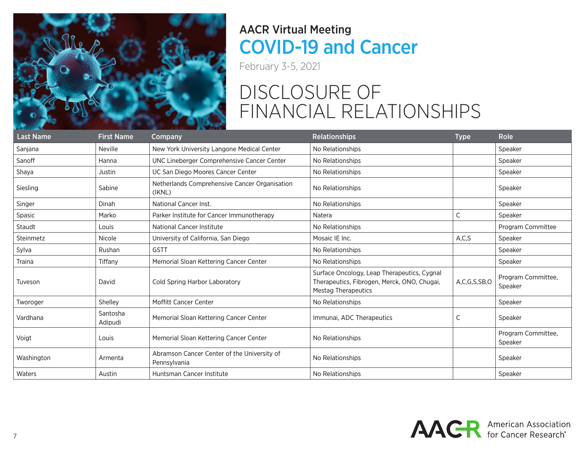

February 3-5, 2021

| <b>Last Name</b> | <b>First Name</b>   | Company                                                     | <b>Relationships</b>                                                                                                     | <b>Type</b>  | Role                          |
|------------------|---------------------|-------------------------------------------------------------|--------------------------------------------------------------------------------------------------------------------------|--------------|-------------------------------|
| Sanjana          | Neville             | New York University Langone Medical Center                  | No Relationships                                                                                                         |              | Speaker                       |
| Sanoff           | Hanna               | UNC Lineberger Comprehensive Cancer Center                  | No Relationships                                                                                                         |              | Speaker                       |
| Shaya            | Justin              | UC San Diego Moores Cancer Center                           | No Relationships                                                                                                         |              | Speaker                       |
| Siesling         | Sabine              | Netherlands Comprehensive Cancer Organisation<br>(IKNL)     | No Relationships                                                                                                         |              | Speaker                       |
| Singer           | Dinah               | National Cancer Inst.                                       | No Relationships                                                                                                         |              | Speaker                       |
| Spasic           | Marko               | Parker Institute for Cancer Immunotherapy                   | Natera                                                                                                                   | C            | Speaker                       |
| Staudt           | Louis               | <b>National Cancer Institute</b>                            | No Relationships                                                                                                         |              | Program Committee             |
| Steinmetz        | Nicole              | University of California, San Diego                         | Mosaic IE Inc.                                                                                                           | A, C, S      | Speaker                       |
| Sylva            | Rushan              | <b>GSTT</b>                                                 | No Relationships                                                                                                         |              | Speaker                       |
| Traina           | Tiffany             | Memorial Sloan Kettering Cancer Center                      | No Relationships                                                                                                         |              | Speaker                       |
| Tuveson          | David               | Cold Spring Harbor Laboratory                               | Surface Oncology, Leap Therapeutics, Cygnal<br>Therapeutics, Fibrogen, Merck, ONO, Chugai,<br><b>Mestag Therapeutics</b> | A,C,G,S,SB,O | Program Committee,<br>Speaker |
| Tworoger         | Shelley             | <b>Moffitt Cancer Center</b>                                | No Relationships                                                                                                         |              | Speaker                       |
| Vardhana         | Santosha<br>Adipudi | Memorial Sloan Kettering Cancer Center                      | Immunai, ADC Therapeutics                                                                                                | C            | Speaker                       |
| Voigt            | Louis               | Memorial Sloan Kettering Cancer Center                      | No Relationships                                                                                                         |              | Program Committee,<br>Speaker |
| Washington       | Armenta             | Abramson Cancer Center of the University of<br>Pennsylvania | No Relationships                                                                                                         |              | Speaker                       |
| Waters           | Austin              | Huntsman Cancer Institute                                   | No Relationships                                                                                                         |              | Speaker                       |